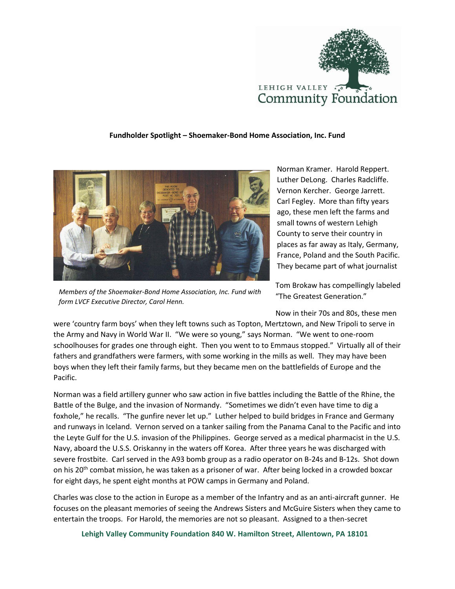

## **Fundholder Spotlight – Shoemaker-Bond Home Association, Inc. Fund**



*Members of the Shoemaker-Bond Home Association, Inc. Fund with form LVCF Executive Director, Carol Henn.*

Norman Kramer. Harold Reppert. Luther DeLong. Charles Radcliffe. Vernon Kercher. George Jarrett. Carl Fegley. More than fifty years ago, these men left the farms and small towns of western Lehigh County to serve their country in places as far away as Italy, Germany, France, Poland and the South Pacific. They became part of what journalist

Tom Brokaw has compellingly labeled "The Greatest Generation."

Now in their 70s and 80s, these men

were 'country farm boys' when they left towns such as Topton, Mertztown, and New Tripoli to serve in the Army and Navy in World War II. "We were so young," says Norman. "We went to one-room schoolhouses for grades one through eight. Then you went to to Emmaus stopped." Virtually all of their fathers and grandfathers were farmers, with some working in the mills as well. They may have been boys when they left their family farms, but they became men on the battlefields of Europe and the Pacific.

Norman was a field artillery gunner who saw action in five battles including the Battle of the Rhine, the Battle of the Bulge, and the invasion of Normandy. "Sometimes we didn't even have time to dig a foxhole," he recalls. "The gunfire never let up." Luther helped to build bridges in France and Germany and runways in Iceland. Vernon served on a tanker sailing from the Panama Canal to the Pacific and into the Leyte Gulf for the U.S. invasion of the Philippines. George served as a medical pharmacist in the U.S. Navy, aboard the U.S.S. Oriskanny in the waters off Korea. After three years he was discharged with severe frostbite. Carl served in the A93 bomb group as a radio operator on B-24s and B-12s. Shot down on his 20<sup>th</sup> combat mission, he was taken as a prisoner of war. After being locked in a crowded boxcar for eight days, he spent eight months at POW camps in Germany and Poland.

Charles was close to the action in Europe as a member of the Infantry and as an anti-aircraft gunner. He focuses on the pleasant memories of seeing the Andrews Sisters and McGuire Sisters when they came to entertain the troops. For Harold, the memories are not so pleasant. Assigned to a then-secret

**Lehigh Valley Community Foundation 840 W. Hamilton Street, Allentown, PA 18101**